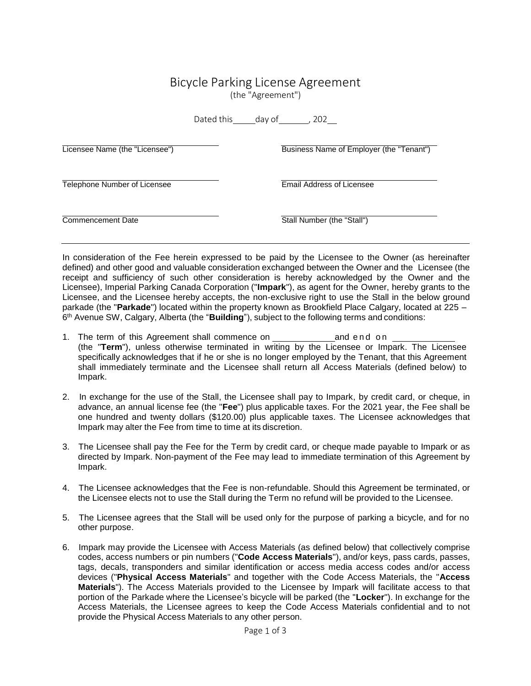## Bicycle Parking License Agreement

(the "Agreement")

Dated this day of , 202

| Licensee Name (the "Licensee")      | Business Name of Employer (the "Tenant") |
|-------------------------------------|------------------------------------------|
| <b>Telephone Number of Licensee</b> | Email Address of Licensee                |
| Commencement Date                   | Stall Number (the "Stall")               |

In consideration of the Fee herein expressed to be paid by the Licensee to the Owner (as hereinafter defined) and other good and valuable consideration exchanged between the Owner and the Licensee (the receipt and sufficiency of such other consideration is hereby acknowledged by the Owner and the Licensee), Imperial Parking Canada Corporation ("**Impark**"), as agent for the Owner, hereby grants to the Licensee, and the Licensee hereby accepts, the non-exclusive right to use the Stall in the below ground parkade (the "**Parkade**") located within the property known as Brookfield Place Calgary, located at 225 – 6 th Avenue SW, Calgary, Alberta (the "**Building**"), subject to the following terms and conditions:

- 1. The term of this Agreement shall commence on and end on (the "**Term**"), unless otherwise terminated in writing by the Licensee or Impark. The Licensee specifically acknowledges that if he or she is no longer employed by the Tenant, that this Agreement shall immediately terminate and the Licensee shall return all Access Materials (defined below) to Impark.
- 2. In exchange for the use of the Stall, the Licensee shall pay to Impark, by credit card, or cheque, in advance, an annual license fee (the "**Fee**") plus applicable taxes. For the 2021 year, the Fee shall be one hundred and twenty dollars (\$120.00) plus applicable taxes. The Licensee acknowledges that Impark may alter the Fee from time to time at its discretion.
- 3. The Licensee shall pay the Fee for the Term by credit card, or cheque made payable to Impark or as directed by Impark. Non-payment of the Fee may lead to immediate termination of this Agreement by Impark.
- 4. The Licensee acknowledges that the Fee is non-refundable. Should this Agreement be terminated, or the Licensee elects not to use the Stall during the Term no refund will be provided to the Licensee.
- 5. The Licensee agrees that the Stall will be used only for the purpose of parking a bicycle, and for no other purpose.
- 6. Impark may provide the Licensee with Access Materials (as defined below) that collectively comprise codes, access numbers or pin numbers ("**Code Access Materials**"), and/or keys, pass cards, passes, tags, decals, transponders and similar identification or access media access codes and/or access devices ("**Physical Access Materials**" and together with the Code Access Materials, the "**Access Materials**"). The Access Materials provided to the Licensee by Impark will facilitate access to that portion of the Parkade where the Licensee's bicycle will be parked (the "**Locker**"). In exchange for the Access Materials, the Licensee agrees to keep the Code Access Materials confidential and to not provide the Physical Access Materials to any other person.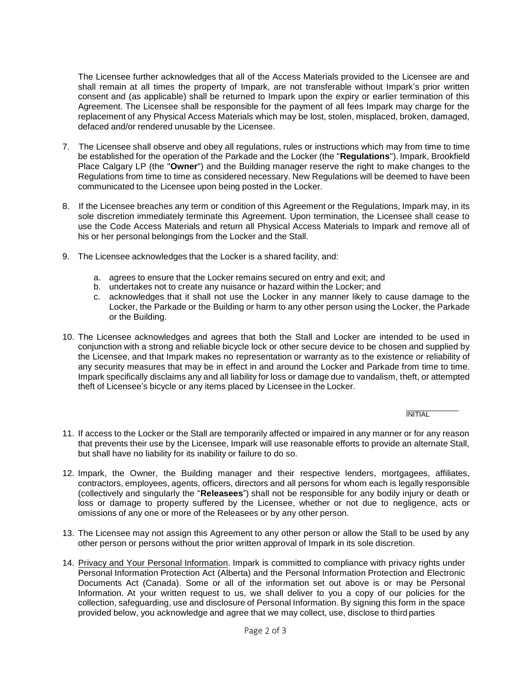The Licensee further acknowledges that all of the Access Materials provided to the Licensee are and shall remain at all times the property of Impark, are not transferable without Impark's prior written consent and (as applicable) shall be returned to Impark upon the expiry or earlier termination of this Agreement. The Licensee shall be responsible for the payment of all fees Impark may charge for the replacement of any Physical Access Materials which may be lost, stolen, misplaced, broken, damaged, defaced and/or rendered unusable by the Licensee.

- 7. The Licensee shall observe and obey all regulations, rules or instructions which may from time to time be established for the operation of the Parkade and the Locker (the "**Regulations**"). Impark, Brookfield Place Calgary LP (the "**Owner**") and the Building manager reserve the right to make changes to the Regulations from time to time as considered necessary. New Regulations will be deemed to have been communicated to the Licensee upon being posted in the Locker.
- 8. If the Licensee breaches any term or condition of this Agreement or the Regulations, Impark may, in its sole discretion immediately terminate this Agreement. Upon termination, the Licensee shall cease to use the Code Access Materials and return all Physical Access Materials to Impark and remove all of his or her personal belongings from the Locker and the Stall.
- 9. The Licensee acknowledges that the Locker is a shared facility, and:
	- a. agrees to ensure that the Locker remains secured on entry and exit; and
	- b. undertakes not to create any nuisance or hazard within the Locker; and
	- c. acknowledges that it shall not use the Locker in any manner likely to cause damage to the Locker, the Parkade or the Building or harm to any other person using the Locker, the Parkade or the Building.
- 10. The Licensee acknowledges and agrees that both the Stall and Locker are intended to be used in conjunction with a strong and reliable bicycle lock or other secure device to be chosen and supplied by the Licensee, and that Impark makes no representation or warranty as to the existence or reliability of any security measures that may be in effect in and around the Locker and Parkade from time to time. Impark specifically disclaims any and all liability for loss or damage due to vandalism, theft, or attempted theft of Licensee's bicycle or any items placed by Licensee in the Locker.

**INITIAL** 

- 11. If access to the Locker or the Stall are temporarily affected or impaired in any manner or for any reason that prevents their use by the Licensee, Impark will use reasonable efforts to provide an alternate Stall, but shall have no liability for its inability or failure to do so.
- 12. Impark, the Owner, the Building manager and their respective lenders, mortgagees, affiliates, contractors, employees, agents, officers, directors and all persons for whom each is legally responsible (collectively and singularly the "**Releasees**") shall not be responsible for any bodily injury or death or loss or damage to property suffered by the Licensee, whether or not due to negligence, acts or omissions of any one or more of the Releasees or by any other person.
- 13. The Licensee may not assign this Agreement to any other person or allow the Stall to be used by any other person or persons without the prior written approval of Impark in its sole discretion.
- 14. Privacy and Your Personal Information. Impark is committed to compliance with privacy rights under Personal Information Protection Act (Alberta) and the Personal Information Protection and Electronic Documents Act (Canada). Some or all of the information set out above is or may be Personal Information. At your written request to us, we shall deliver to you a copy of our policies for the collection, safeguarding, use and disclosure of Personal Information. By signing this form in the space provided below, you acknowledge and agree that we may collect, use, disclose to third parties